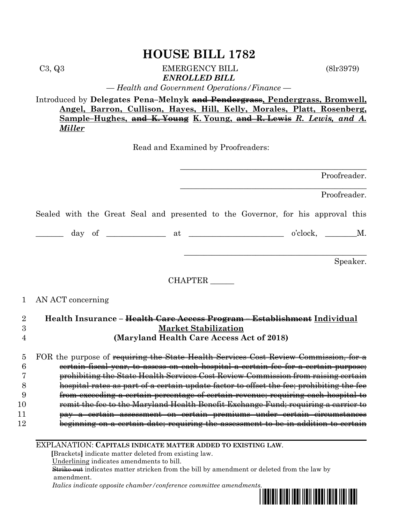C3, Q3 EMERGENCY BILL (8lr3979) *ENROLLED BILL*

*— Health and Government Operations/Finance —*

Introduced by **Delegates Pena–Melnyk and Pendergrass, Pendergrass, Bromwell, Angel, Barron, Cullison, Hayes, Hill, Kelly, Morales, Platt, Rosenberg, Sample–Hughes, and K. Young K. Young, and R. Lewis** *R. Lewis, and A. Miller*

Read and Examined by Proofreaders:

Proofreader.

\_\_\_\_\_\_\_\_\_\_\_\_\_\_\_\_\_\_\_\_\_\_\_\_\_\_\_\_\_\_\_\_\_\_\_\_\_\_\_\_\_\_\_\_\_\_\_

\_\_\_\_\_\_\_\_\_\_\_\_\_\_\_\_\_\_\_\_\_\_\_\_\_\_\_\_\_\_\_\_\_\_\_\_\_\_\_\_\_\_\_\_\_\_\_

 $\mathcal{L}_\mathcal{L}$  , where  $\mathcal{L}_\mathcal{L}$  is the set of the set of the set of the set of the set of the set of the set of the set of the set of the set of the set of the set of the set of the set of the set of the set of the

Proofreader.

Sealed with the Great Seal and presented to the Governor, for his approval this

 $_\mathrm{day}$  of  $_\mathrm{at}$  at  $_\mathrm{o'clock}$ ,  $_\mathrm{M.}$ 

Speaker.

CHAPTER \_\_\_\_\_\_

### 1 AN ACT concerning

| 9 | Health Insurance - Health Care Access Program - Establishment Individual             |
|---|--------------------------------------------------------------------------------------|
|   | <b>Market Stabilization</b>                                                          |
|   | (Maryland Health Care Access Act of 2018)                                            |
|   |                                                                                      |
|   | 5 FOR the purpose of requiring the State Health Services Cost Review Commission, for |
|   | to assess on each hospital a certain fee for a certain pu                            |
|   | prohibiting the State Health Services Cost Review Commission from raising certain    |
|   | ortain undata factor to offect the fear prob                                         |

9 from exceeding a certain percentage of certain revenue; requiring each hospital to

- 10 remit the fee to the Maryland Health Benefit Exchange Fund; requiring a carrier to
- 11 pay a certain assessment on certain premiums under certain circumstances
- 12 beginning on a certain date; requiring the assessment to be in addition to certain

EXPLANATION: **CAPITALS INDICATE MATTER ADDED TO EXISTING LAW**.

 **[**Brackets**]** indicate matter deleted from existing law.

Underlining indicates amendments to bill.

 Strike out indicates matter stricken from the bill by amendment or deleted from the law by amendment.

 *Italics indicate opposite chamber/conference committee amendments.*

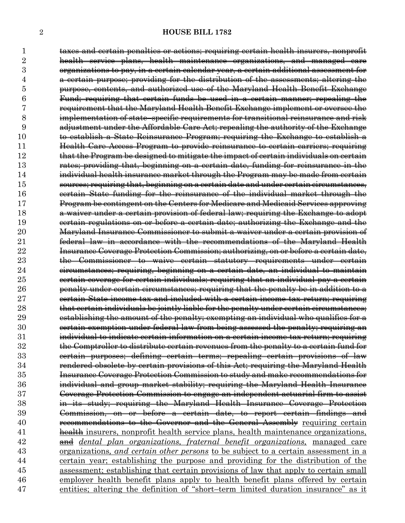taxes and certain penalties or actions; requiring certain health insurers, nonprofit health service plans, health maintenance organizations, and managed care organizations to pay, in a certain calendar year, a certain additional assessment for a certain purpose; providing for the distribution of the assessments; altering the purpose, contents, and authorized use of the Maryland Health Benefit Exchange Fund; requiring that certain funds be used in a certain manner; repealing the requirement that the Maryland Health Benefit Exchange implement or oversee the implementation of state–specific requirements for transitional reinsurance and risk adjustment under the Affordable Care Act; repealing the authority of the Exchange to establish a State Reinsurance Program; requiring the Exchange to establish a Health Care Access Program to provide reinsurance to certain carriers; requiring that the Program be designed to mitigate the impact of certain individuals on certain rates; providing that, beginning on a certain date, funding for reinsurance in the individual health insurance market through the Program may be made from certain sources; requiring that, beginning on a certain date and under certain circumstances, certain State funding for the reinsurance of the individual market through the Program be contingent on the Centers for Medicare and Medicaid Services approving a waiver under a certain provision of federal law; requiring the Exchange to adopt certain regulations on or before a certain date; authorizing the Exchange and the Maryland Insurance Commissioner to submit a waiver under a certain provision of federal law in accordance with the recommendations of the Maryland Health Insurance Coverage Protection Commission; authorizing, on or before a certain date, the Commissioner to waive certain statutory requirements under certain circumstances; requiring, beginning on a certain date, an individual to maintain certain coverage for certain individuals; requiring that an individual pay a certain penalty under certain circumstances; requiring that the penalty be in addition to a certain State income tax and included with a certain income tax return; requiring 28 that certain individuals be jointly liable for the penalty under certain circumstances; establishing the amount of the penalty; exempting an individual who qualifies for a **certain exemption under federal law from being assessed the penalty; requiring an**  individual to indicate certain information on a certain income tax return; requiring the Comptroller to distribute certain revenues from the penalty to a certain fund for certain purposes; defining certain terms; repealing certain provisions of law rendered obsolete by certain provisions of this Act; requiring the Maryland Health Insurance Coverage Protection Commission to study and make recommendations for individual and group market stability; requiring the Maryland Health Insurance Coverage Protection Commission to engage an independent actuarial firm to assist in its study; requiring the Maryland Health Insurance Coverage Protection Commission, on or before a certain date, to report certain findings and **recommendations to the Governor and the General Assembly** requiring certain 41 health insurers, nonprofit health service plans, health maintenance organizations, and *dental plan organizations, fraternal benefit organizations,* managed care organizations*, and certain other persons* to be subject to a certain assessment in a certain year; establishing the purpose and providing for the distribution of the assessment; establishing that certain provisions of law that apply to certain small employer health benefit plans apply to health benefit plans offered by certain entities; altering the definition of "short–term limited duration insurance" as it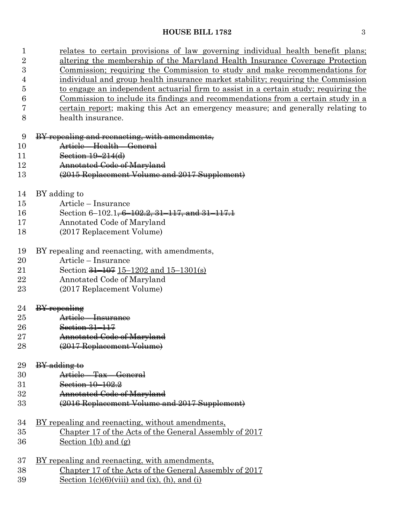| $\mathbf 1$    | relates to certain provisions of law governing individual health benefit plans;     |
|----------------|-------------------------------------------------------------------------------------|
| $\overline{2}$ | altering the membership of the Maryland Health Insurance Coverage Protection        |
| 3              | Commission; requiring the Commission to study and make recommendations for          |
| 4              | individual and group health insurance market stability; requiring the Commission    |
| $\overline{5}$ | to engage an independent actuarial firm to assist in a certain study; requiring the |
| 6              | Commission to include its findings and recommendations from a certain study in a    |
| 7              | certain report; making this Act an emergency measure; and generally relating to     |
| 8              | health insurance.                                                                   |

### BY repealing and reenacting, with amendments,

| 10 |                            | $\Lambda_{\text{mtidal}}$ $H_{\text{coll}}$ $C_{\text{onoul}}$ |
|----|----------------------------|----------------------------------------------------------------|
|    | <del><i>IM 01010</i></del> | <del>- 110anii 901101a1</del>                                  |

- 11 Section 19–214(d)
- Annotated Code of Maryland
- (2015 Replacement Volume and 2017 Supplement)
- BY adding to
- Article Insurance
- 16 Section 6–102.1<del>, 6–102.2, 31–117, and 31–117.1</del>
- Annotated Code of Maryland
- (2017 Replacement Volume)
- BY repealing and reenacting, with amendments,
- Article Insurance
- 21 Section <del>31–107</del> 15–1202 and 15–1301(s)
- Annotated Code of Maryland
- (2017 Replacement Volume)

| 9 | mangaling<br>$\sigma\sigma\sigma\sigma\sigma\sigma\sigma\epsilon$ |
|---|-------------------------------------------------------------------|
|   |                                                                   |

- Article Insurance
- **Section 31–117**
- **Annotated Code of Maryland**
- (2017 Replacement Volume)

### $BY$  adding to

- Article Tax General
- Section 10–102.2
- Annotated Code of Maryland
- (2016 Replacement Volume and 2017 Supplement)
- BY repealing and reenacting, without amendments,
- Chapter 17 of the Acts of the General Assembly of 2017 Section 1(b) and (g)
- BY repealing and reenacting, with amendments, Chapter 17 of the Acts of the General Assembly of 2017 39 Section  $1(c)(6)(viii)$  and  $(ix)$ ,  $(h)$ , and  $(i)$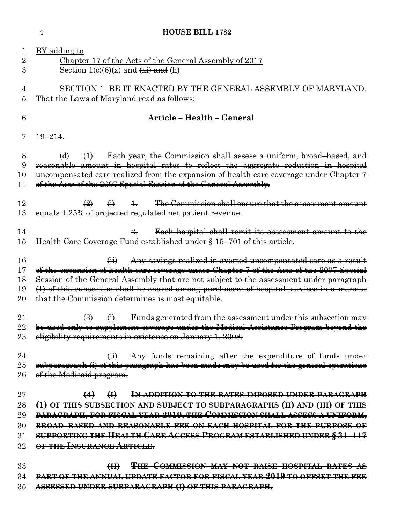|                                | <b>HOUSE BILL 1782</b><br>4                                                                                                                                                                                                                                                                                                                                                                                                |
|--------------------------------|----------------------------------------------------------------------------------------------------------------------------------------------------------------------------------------------------------------------------------------------------------------------------------------------------------------------------------------------------------------------------------------------------------------------------|
| $\perp$<br>$\overline{2}$<br>3 | BY adding to<br>Chapter 17 of the Acts of the General Assembly of 2017<br>Section $1(c)(6)(x)$ and $\overrightarrow{xx}$ and (h)                                                                                                                                                                                                                                                                                           |
| 4<br>5                         | SECTION 1. BE IT ENACTED BY THE GENERAL ASSEMBLY OF MARYLAND,<br>That the Laws of Maryland read as follows:                                                                                                                                                                                                                                                                                                                |
| 6                              | Article – Health – General                                                                                                                                                                                                                                                                                                                                                                                                 |
|                                | $+9-21+$                                                                                                                                                                                                                                                                                                                                                                                                                   |
| 8<br>9<br>10<br>11             | Each year, the Commission shall assess a uniform, broad-based, and<br>$\Theta$<br>$\leftrightarrow$<br>reasonable amount in hospital rates to reflect the aggregate reduction in hospital<br>uncompensated care realized from the expansion of health care coverage under Chapter 7<br>of the Acts of the 2007 Special Session of the General Assembly.                                                                    |
| 12<br>13                       | The Commission shall ensure that the assessment amount<br>$\left(\frac{2}{2}\right)$<br>$\left( \frac{1}{1} \right)$<br>$\pm$<br>equals 1.25% of projected regulated net patient revenue.                                                                                                                                                                                                                                  |
| 14<br>15                       | Each hospital shall remit its assessment amount to the<br>Health Care Coverage Fund established under § 15-701 of this article.                                                                                                                                                                                                                                                                                            |
| 16<br>17<br>18<br>19<br>20     | Any savings realized in averted uncompensated care as a result<br>$\overline{41}$<br>of the expansion of health care coverage under Chapter 7 of the Acts of the 2007 Special<br>Session of the General Assembly that are not subject to the assessment under paragraph<br>$(1)$ of this subsection shall be shared among purchasers of hospital services in a manner<br>that the Commission determines is most equitable. |
| 21<br>22<br>23                 | Funds generated from the assessment under this subsection may<br>$\bigcirc$<br>$\ddot{\Theta}$<br>be used only to supplement coverage under the Medical Assistance Program beyond the<br>eligibility requirements in existence on January 1, 2008.                                                                                                                                                                         |
| 24<br>25<br>26                 | Any funds remaining after the expenditure of funds under<br>$\overline{(+)}$<br>subparagraph (i) of this paragraph has been made may be used for the general operations<br>of the Medicaid program.                                                                                                                                                                                                                        |
| 27<br>28                       | IN ADDITION TO THE RATES IMPOSED UNDER PARAGRAPH<br>$\bigoplus$<br>(4)<br>(1) OF THIS SUBSECTION AND SUBJECT TO SUBPARAGRAPHS (II) AND (III) OF THIS                                                                                                                                                                                                                                                                       |
| 29                             | PARAGRAPH, FOR FISCAL YEAR 2019, THE COMMISSION SHALL ASSESS A UNIFORM,                                                                                                                                                                                                                                                                                                                                                    |
| 30                             | <b>BROAD-BASED AND REASONABLE FEE ON EACH HOSPITAL FOR THE PURPOSE OF</b>                                                                                                                                                                                                                                                                                                                                                  |
| 31<br>32                       | SUPPORTING THE HEALTH CARE ACCESS PROGRAM ESTABLISHED UNDER § 31-117<br>OF THE INSURANCE ARTICLE.                                                                                                                                                                                                                                                                                                                          |
| 33<br>34<br>35                 | THE COMMISSION MAY NOT RAISE HOSPITAL RATES AS<br>H<br><b>PART OF THE ANNUAL UPDATE FACTOR FOR FISCAL YEAR 2019 TO OFFSET THE FEE</b><br>ASSESSED UNDER SUBPARAGRAPH (I) OF THIS PARAGRAPH.                                                                                                                                                                                                                                |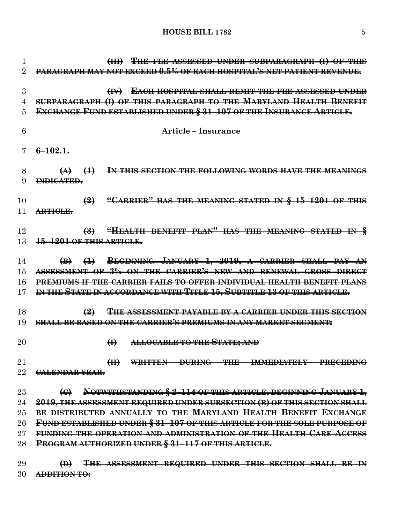**(III) THE FEE ASSESSED UNDER SUBPARAGRAPH (I) OF THIS PARAGRAPH MAY NOT EXCEED 0.5% OF EACH HOSPITAL'S NET PATIENT REVENUE. (IV) EACH HOSPITAL SHALL REMIT THE FEE ASSESSED UNDER SUBPARAGRAPH (I) OF THIS PARAGRAPH TO THE MARYLAND HEALTH BENEFIT EXCHANGE FUND ESTABLISHED UNDER § 31–107 OF THE INSURANCE ARTICLE. Article – Insurance 6–102.1. (A) (1) IN THIS SECTION THE FOLLOWING WORDS HAVE THE MEANINGS INDICATED. (2) "CARRIER" HAS THE MEANING STATED IN § 15–1201 OF THIS ARTICLE. (3) "HEALTH BENEFIT PLAN" HAS THE MEANING STATED IN § 15–1201 OF THIS ARTICLE. (B) (1) BEGINNING JANUARY 1, 2019, A CARRIER SHALL PAY AN ASSESSMENT OF 3% ON THE CARRIER'S NEW AND RENEWAL GROSS DIRECT PREMIUMS IF THE CARRIER FAILS TO OFFER INDIVIDUAL HEALTH BENEFIT PLANS IN THE STATE IN ACCORDANCE WITH TITLE 15, SUBTITLE 13 OF THIS ARTICLE. (2) THE ASSESSMENT PAYABLE BY A CARRIER UNDER THIS SECTION SHALL BE BASED ON THE CARRIER'S PREMIUMS IN ANY MARKET SEGMENT: (I) ALLOCABLE TO THE STATE; AND (II) WRITTEN DURING THE IMMEDIATELY PRECEDING CALENDAR YEAR. (C) NOTWITHSTANDING § 2–114 OF THIS ARTICLE, BEGINNING JANUARY 1, 2019, THE ASSESSMENT REQUIRED UNDER SUBSECTION (B) OF THIS SECTION SHALL BE DISTRIBUTED ANNUALLY TO THE MARYLAND HEALTH BENEFIT EXCHANGE FUND ESTABLISHED UNDER § 31–107 OF THIS ARTICLE FOR THE SOLE PURPOSE OF FUNDING THE OPERATION AND ADMINISTRATION OF THE HEALTH CARE ACCESS PROGRAM AUTHORIZED UNDER § 31–117 OF THIS ARTICLE.**

 **(D) THE ASSESSMENT REQUIRED UNDER THIS SECTION SHALL BE IN ADDITION TO:**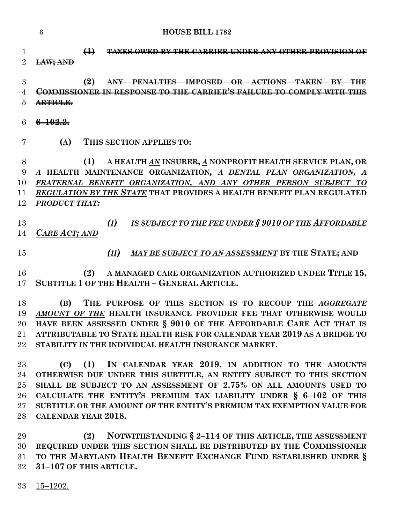|          | 6                  | <b>HOUSE BILL 1782</b>                                                                                                            |
|----------|--------------------|-----------------------------------------------------------------------------------------------------------------------------------|
|          |                    | $\leftrightarrow$<br>BY THE CARRIER INDER ANY OTHER PROVISI                                                                       |
| 3        |                    | $\left( 2\right)$<br><b>IMPOSED</b><br>CTIANS<br><u>MMISSIONED IN DESDONSE TO THE CADDIED'S FAILIDE TO</u>                        |
| h        | <del>RTICLE.</del> |                                                                                                                                   |
| 6        | <u> 1022 </u>      |                                                                                                                                   |
|          | (A)                | THIS SECTION APPLIES TO:                                                                                                          |
| 8<br>9   | A                  | (1)<br>A HEALTH AN INSURER, A NONPROFIT HEALTH SERVICE PLAN, OR<br>HEALTH MAINTENANCE ORGANIZATION, A DENTAL PLAN ORGANIZATION, A |
| 10       |                    | FRATERNAL BENEFIT ORGANIZATION, AND ANY OTHER<br><b>PERSON</b><br><b>SUBJECT</b><br>ТО                                            |
| 11<br>12 | PRODUCT THAT:      | REGULATION BY THE STATE THAT PROVIDES A HEALTH BENEFIT PLAN REGUL                                                                 |

 *(I) IS SUBJECT TO THE FEE UNDER § 9010 OF THE AFFORDABLE CARE ACT; AND*

- 
- *(II) MAY BE SUBJECT TO AN ASSESSMENT* **BY THE STATE; AND**

 **(2) A MANAGED CARE ORGANIZATION AUTHORIZED UNDER TITLE 15, SUBTITLE 1 OF THE HEALTH – GENERAL ARTICLE.**

 **(B) THE PURPOSE OF THIS SECTION IS TO RECOUP THE** *AGGREGATE AMOUNT OF THE* **HEALTH INSURANCE PROVIDER FEE THAT OTHERWISE WOULD HAVE BEEN ASSESSED UNDER § 9010 OF THE AFFORDABLE CARE ACT THAT IS ATTRIBUTABLE TO STATE HEALTH RISK FOR CALENDAR YEAR 2019 AS A BRIDGE TO STABILITY IN THE INDIVIDUAL HEALTH INSURANCE MARKET.**

 **(C) (1) IN CALENDAR YEAR 2019, IN ADDITION TO THE AMOUNTS OTHERWISE DUE UNDER THIS SUBTITLE, AN ENTITY SUBJECT TO THIS SECTION SHALL BE SUBJECT TO AN ASSESSMENT OF 2.75% ON ALL AMOUNTS USED TO CALCULATE THE ENTITY'S PREMIUM TAX LIABILITY UNDER § 6–102 OF THIS SUBTITLE OR THE AMOUNT OF THE ENTITY'S PREMIUM TAX EXEMPTION VALUE FOR CALENDAR YEAR 2018.**

 **(2) NOTWITHSTANDING § 2–114 OF THIS ARTICLE, THE ASSESSMENT REQUIRED UNDER THIS SECTION SHALL BE DISTRIBUTED BY THE COMMISSIONER TO THE MARYLAND HEALTH BENEFIT EXCHANGE FUND ESTABLISHED UNDER § 31–107 OF THIS ARTICLE.**

15–1202.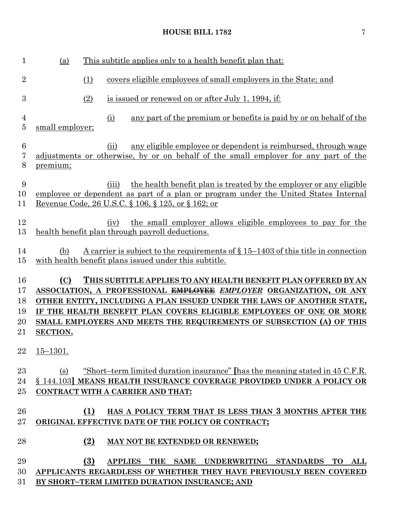| $\mathbf{1}$                     | This subtitle applies only to a health benefit plan that:<br>(a)                                                                                                                                                                                                                                                                                                                            |
|----------------------------------|---------------------------------------------------------------------------------------------------------------------------------------------------------------------------------------------------------------------------------------------------------------------------------------------------------------------------------------------------------------------------------------------|
| $\overline{2}$                   | (1)<br>covers eligible employees of small employers in the State; and                                                                                                                                                                                                                                                                                                                       |
| 3                                | (2)<br>is issued or renewed on or after July 1, 1994, if:                                                                                                                                                                                                                                                                                                                                   |
| 4<br>5                           | (i)<br>any part of the premium or benefits is paid by or on behalf of the<br>small employer;                                                                                                                                                                                                                                                                                                |
| $\boldsymbol{6}$<br>7<br>8       | any eligible employee or dependent is reimbursed, through wage<br>(ii)<br>adjustments or otherwise, by or on behalf of the small employer for any part of the<br>premium;                                                                                                                                                                                                                   |
| 9<br>10<br>11                    | the health benefit plan is treated by the employer or any eligible<br>(iii)<br>employee or dependent as part of a plan or program under the United States Internal<br>Revenue Code, 26 U.S.C. § 106, § 125, or § 162; or                                                                                                                                                                    |
| 12<br>13                         | the small employer allows eligible employees to pay for the<br>(iv)<br>health benefit plan through payroll deductions.                                                                                                                                                                                                                                                                      |
| 14<br>15                         | A carrier is subject to the requirements of $\S 15-1403$ of this title in connection<br>(b)<br>with health benefit plans issued under this subtitle.                                                                                                                                                                                                                                        |
| 16<br>17<br>18<br>19<br>20<br>21 | (C)<br>THIS SUBTITLE APPLIES TO ANY HEALTH BENEFIT PLAN OFFERED BY AN<br>ASSOCIATION, A PROFESSIONAL <del>EMPLOYEE</del> EMPLOYER ORGANIZATION, OR ANY<br>OTHER ENTITY, INCLUDING A PLAN ISSUED UNDER THE LAWS OF ANOTHER STATE,<br>IF THE HEALTH BENEFIT PLAN COVERS ELIGIBLE EMPLOYEES OF ONE OR MORE<br>SMALL EMPLOYERS AND MEETS THE REQUIREMENTS OF SUBSECTION (A) OF THIS<br>SECTION. |
| 22                               | $15 - 1301.$                                                                                                                                                                                                                                                                                                                                                                                |
| 23<br>24                         | <u>"Short-term limited duration insurance" [has the meaning stated in 45 C.F.R.</u><br>(s)                                                                                                                                                                                                                                                                                                  |
| $25\,$                           | § 144.103] MEANS HEALTH INSURANCE COVERAGE PROVIDED UNDER A POLICY OR<br>CONTRACT WITH A CARRIER AND THAT:                                                                                                                                                                                                                                                                                  |
| 26<br>$27\,$                     | HAS A POLICY TERM THAT IS LESS THAN 3 MONTHS AFTER THE<br>(1)<br>ORIGINAL EFFECTIVE DATE OF THE POLICY OR CONTRACT;                                                                                                                                                                                                                                                                         |
| 28                               | (2)<br>MAY NOT BE EXTENDED OR RENEWED;                                                                                                                                                                                                                                                                                                                                                      |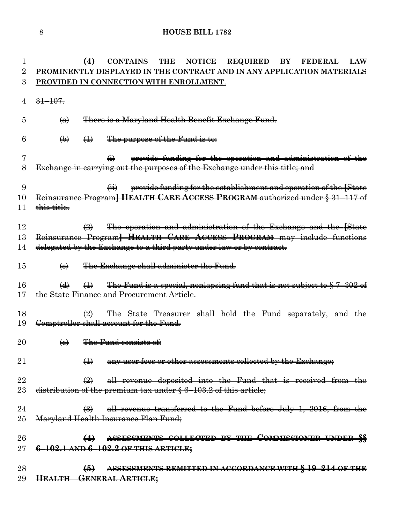| 1              |                           | (4)                                  | <b>CONTAINS</b> THE                                              |  | NOTICE REQUIRED                                                                                                                                                                                                  | BY FEDERAL | <b>LAW</b> |
|----------------|---------------------------|--------------------------------------|------------------------------------------------------------------|--|------------------------------------------------------------------------------------------------------------------------------------------------------------------------------------------------------------------|------------|------------|
| 2              |                           |                                      |                                                                  |  | PROMINENTLY DISPLAYED IN THE CONTRACT AND IN ANY APPLICATION MATERIALS                                                                                                                                           |            |            |
| 3              |                           |                                      | PROVIDED IN CONNECTION WITH ENROLLMENT.                          |  |                                                                                                                                                                                                                  |            |            |
| 4              | $31 - 107$                |                                      |                                                                  |  |                                                                                                                                                                                                                  |            |            |
| 5              | $\left( a\right)$         |                                      |                                                                  |  | There is a Maryland Health Benefit Exchange Fund.                                                                                                                                                                |            |            |
| 6              | $\bigoplus$               | $\leftrightarrow$                    | The purpose of the Fund is to:                                   |  |                                                                                                                                                                                                                  |            |            |
| 7<br>8         |                           |                                      | $\leftrightarrow$                                                |  | provide funding for the operation and administration of the<br>Exchange in carrying out the purposes of the Exchange under this title; and                                                                       |            |            |
| 9<br>10<br>11  | this title.               |                                      | $\overleftrightarrow{H}$                                         |  | provide funding for the establishment and operation of the [State<br>Reinsurance Program] HEALTH CARE ACCESS PROGRAM authorized under § 31-117 of                                                                |            |            |
| 12<br>13<br>14 |                           | $\left(\frac{\Omega}{\Omega}\right)$ |                                                                  |  | The operation and administration of the Exchange and the [State<br>Reinsurance Program] HEALTH CARE ACCESS PROGRAM may include functions<br>delegated by the Exchange to a third party under law or by contract. |            |            |
| 15             | $\Theta$                  |                                      | The Exchange shall administer the Fund.                          |  |                                                                                                                                                                                                                  |            |            |
| 16             | $\left(\mathbf{d}\right)$ |                                      |                                                                  |  | $\left( \frac{1}{2} \right)$ The Fund is a special, nonlapsing fund that is not subject to $\frac{1}{2}$ 7-302 of                                                                                                |            |            |
| 17             |                           |                                      | the State Finance and Procurement Article.                       |  |                                                                                                                                                                                                                  |            |            |
| 18             |                           | $\leftrightarrow$                    |                                                                  |  | The State Treasurer shall hold the Fund separately, and the                                                                                                                                                      |            |            |
| 19             |                           |                                      | Comptroller shall account for the Fund.                          |  |                                                                                                                                                                                                                  |            |            |
| 20             | $\left(\mathbf{e}\right)$ |                                      | The Fund consists of:                                            |  |                                                                                                                                                                                                                  |            |            |
| 21             |                           | $\bigoplus$                          |                                                                  |  | <del>any user fees or other assessments collected by the Exchange;</del>                                                                                                                                         |            |            |
| 22             |                           | $\bigoplus$                          |                                                                  |  | all revenue deposited into the Fund that is received from the                                                                                                                                                    |            |            |
| 23             |                           |                                      | distribution of the premium tax under § 6-103.2 of this article; |  |                                                                                                                                                                                                                  |            |            |
| 24             |                           |                                      |                                                                  |  | $\left(\frac{3}{2}\right)$ all revenue transferred to the Fund before July 1, 2016, from the                                                                                                                     |            |            |
| $25\,$         |                           |                                      | Maryland Health Insurance Plan Fund;                             |  |                                                                                                                                                                                                                  |            |            |
| 26             |                           | $\leftrightarrow$                    |                                                                  |  | ASSESSMENTS COLLECTED BY THE COMMISSIONER UNDER SS                                                                                                                                                               |            |            |
| $27\,$         |                           |                                      | 6-102.1 AND 6-102.2 OF THIS ARTICLE;                             |  |                                                                                                                                                                                                                  |            |            |
| 28             |                           | $\bigoplus$                          |                                                                  |  | ASSESSMENTS REMITTED IN ACCORDANCE WITH § 19-214 OF THE                                                                                                                                                          |            |            |
| 29             |                           |                                      | <b>HEALTH - GENERAL ARTICLE;</b>                                 |  |                                                                                                                                                                                                                  |            |            |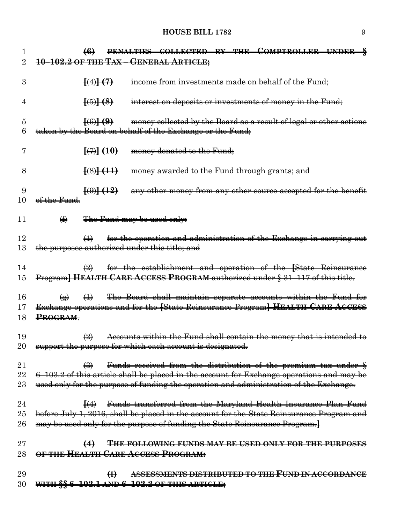| 1              | PENALTIES COLLECTED BY THE COMPTROLLER UNDER §<br>$\left(6\right)$                                                                                                                                |
|----------------|---------------------------------------------------------------------------------------------------------------------------------------------------------------------------------------------------|
| $\overline{2}$ | 10-102.2 OF THE TAX-GENERAL ARTICLE;                                                                                                                                                              |
|                |                                                                                                                                                                                                   |
| 3              | $\left\{ \left( 4\right) \right\}$ $\left( 7\right)$<br>income from investments made on behalf of the Fund;                                                                                       |
|                |                                                                                                                                                                                                   |
| 4              | $\frac{[6]}{[6]}$<br>interest on deposits or investments of money in the Fund;                                                                                                                    |
|                | $\frac{1}{0}$                                                                                                                                                                                     |
| 5<br>6         | money collected by the Board as a result of legal or other actions<br>taken by the Board on behalf of the Exchange or the Fund;                                                                   |
|                |                                                                                                                                                                                                   |
| 7              | $\{\left(7\right)\}$ (10)<br>money donated to the Fund;                                                                                                                                           |
|                |                                                                                                                                                                                                   |
| 8              | $\frac{[8]}{[4]}$<br>money awarded to the Fund through grants; and                                                                                                                                |
|                |                                                                                                                                                                                                   |
| 9              | $\left[\left(0\right)\right]$ $\left(12\right)$<br>any other money from any other source accepted for the benefit                                                                                 |
| 10             | of the Fund.                                                                                                                                                                                      |
| 11             |                                                                                                                                                                                                   |
|                | The Fund may be used only:<br>$\bigoplus$                                                                                                                                                         |
| 12             | for the operation and administration of the Exchange in carrying out<br>$\leftrightarrow$                                                                                                         |
| 13             | the purposes authorized under this title; and                                                                                                                                                     |
|                |                                                                                                                                                                                                   |
| 14             | for the establishment and operation of the [State Reinsurance<br>$\left(\frac{1}{2}\right)$                                                                                                       |
| 15             | Program] HEALTH CARE ACCESS PROGRAM authorized under § 31-117 of this title.                                                                                                                      |
|                |                                                                                                                                                                                                   |
| 16             | The Board shall maintain separate accounts within the Fund for<br>$\bigoplus$<br>$\left( \n\mathbf{r} \right)$                                                                                    |
| 17             | Exchange operations and for the [State Reinsurance Program] HEALTH CARE ACCESS<br>PROGRAM.                                                                                                        |
| 18             |                                                                                                                                                                                                   |
| 19             | Accounts within the Fund shall contain the money that is intended to<br>$\left(\frac{\Omega}{\Omega}\right)$                                                                                      |
| 20             | support the purpose for which each account is designated.                                                                                                                                         |
|                |                                                                                                                                                                                                   |
| 21             | Funds received from the distribution of the premium tax under §<br>$\bigoplus$                                                                                                                    |
| 22             | 6-103.2 of this article shall be placed in the account for Exchange operations and may be                                                                                                         |
| $23\,$         | used only for the purpose of funding the operation and administration of the Exchange.                                                                                                            |
|                |                                                                                                                                                                                                   |
| 24<br>25       | Funds transferred from the Maryland Health Insurance Plan Fund<br>$\left\{ \left( 4\right) \right\}$<br>before July 1, 2016, shall be placed in the account for the State Reinsurance Program and |
| 26             | may be used only for the purpose of funding the State Reinsurance Program.}                                                                                                                       |
|                |                                                                                                                                                                                                   |
| $27\,$         | THE FOLLOWING FUNDS MAY BE USED ONLY FOR THE PURPOSES                                                                                                                                             |
| 28             | OF THE HEALTH CARE ACCESS PROGRAM:                                                                                                                                                                |
|                |                                                                                                                                                                                                   |
| 29             | ASSESSMENTS DISTRIBUTED TO THE FUND IN ACCORDANCE<br>$\bigoplus$                                                                                                                                  |
| 30             | WITH $\S$ 6-102.1 AND 6-102.2 OF THIS ARTICLE;                                                                                                                                                    |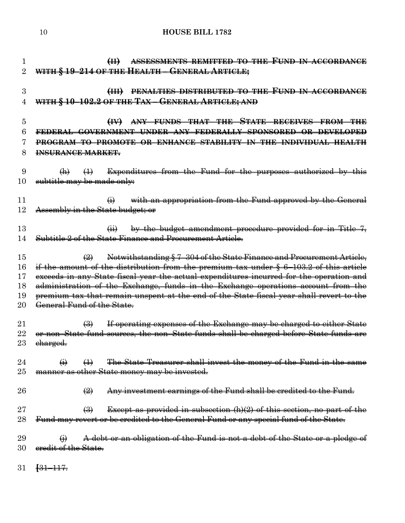**(II) ASSESSMENTS REMITTED TO THE FUND IN ACCORDANCE WITH § 19–214 OF THE HEALTH – GENERAL ARTICLE; (III) PENALTIES DISTRIBUTED TO THE FUND IN ACCORDANCE WITH § 10–102.2 OF THE TAX – GENERAL ARTICLE; AND (IV) ANY FUNDS THAT THE STATE RECEIVES FROM THE FEDERAL GOVERNMENT UNDER ANY FEDERALLY SPONSORED OR DEVELOPED PROGRAM TO PROMOTE OR ENHANCE STABILITY IN THE INDIVIDUAL HEALTH INSURANCE MARKET.**  $9 \t (h)$   $(1)$  Expenditures from the Fund for the purposes authorized by this 10 subtitle may be made only:  $\qquad \qquad (i)$  with an appropriation from the Fund approved by the General 12 Assembly in the State budget; or (ii) by the budget amendment procedure provided for in Title 7, Subtitle 2 of the State Finance and Procurement Article. (2) Notwithstanding § 7–304 of the State Finance and Procurement Article, if the amount of the distribution from the premium tax under § 6–103.2 of this article exceeds in any State fiscal year the actual expenditures incurred for the operation and administration of the Exchange, funds in the Exchange operations account from the premium tax that remain unspent at the end of the State fiscal year shall revert to the 20 General Fund of the State.  $\left(\frac{3}{2}\right)$  If operating expenses of the Exchange may be charged to either State or non–State fund sources, the non–State funds shall be charged before State funds are 23 <del>charged.</del>  $\qquad \qquad (i) \qquad (1)$  The State Treasurer shall invest the money of the Fund in the same manner as other State money may be invested.  $\left(2\right)$  Any investment earnings of the Fund shall be credited to the Fund. **Except as provided in subsection (h)(2) of this section, no part of the** 28 Fund may revert or be credited to the General Fund or any special fund of the State.  $\leftrightarrow$  A debt or an obligation of the Fund is not a debt of the State or a pledge of 30 eredit of the State. **[**31–117.

**HOUSE BILL 1782**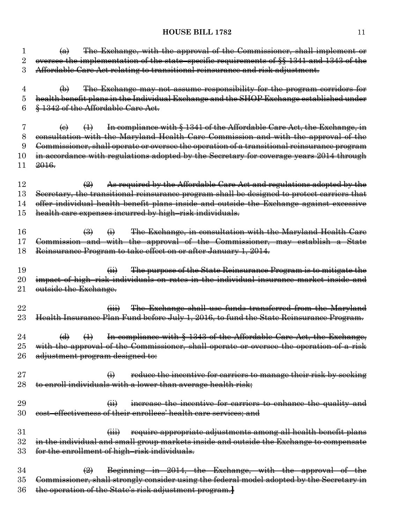| 1        | The Exchange, with the approval of the Commissioner, shall implement or<br>$\leftrightarrow$                             |
|----------|--------------------------------------------------------------------------------------------------------------------------|
| $\rm{2}$ | oversee the implementation of the state-specific requirements of §§ 1341 and 1343 of the                                 |
| 3        | Affordable Care Act relating to transitional reinsurance and risk adjustment.                                            |
|          |                                                                                                                          |
| 4        | The Exchange may not assume responsibility for the program corridors for<br>$\bigoplus$                                  |
| 5        | health benefit plans in the Individual Exchange and the SHOP Exchange established under                                  |
| 6        | § 1342 of the Affordable Care Act.                                                                                       |
|          |                                                                                                                          |
| 7        | In compliance with § 1341 of the Affordable Care Act, the Exchange, in<br>$\leftrightarrow$<br>$\left(\mathbf{e}\right)$ |
| 8        | consultation with the Maryland Health Care Commission and with the approval of the                                       |
| 9        | Commissioner, shall operate or oversee the operation of a transitional reinsurance program                               |
| $10\,$   | in accordance with regulations adopted by the Secretary for coverage years 2014 through                                  |
| 11       | 2016.                                                                                                                    |
|          |                                                                                                                          |
| 12       | As required by the Affordable Care Act and regulations adopted by the<br>$\bigoplus$                                     |
|          |                                                                                                                          |
| 13       | Secretary, the transitional reinsurance program shall be designed to protect carriers that                               |
| 14       | offer individual health benefit plans inside and outside the Exchange against excessive                                  |
| 15       | health care expenses incurred by high-risk individuals.                                                                  |
|          |                                                                                                                          |
| 16       | The Exchange, in consultation with the Maryland Health Care<br>$\left(\frac{3}{2}\right)$<br>$\ddot{\Theta}$             |
| 17       | Commission and with the approval of the Commissioner, may establish a State                                              |
| 18       | Reinsurance Program to take effect on or after January 1, 2014.                                                          |
|          |                                                                                                                          |
| 19       | The purpose of the State Reinsurance Program is to mitigate the<br>$\overline{a}$                                        |
| $20\,$   | impact of high-risk individuals on rates in the individual insurance market inside and                                   |
| $21\,$   | outside the Exchange.                                                                                                    |
|          |                                                                                                                          |
| 22       | The Exchange shall use funds transferred from the Maryland<br>$\overline{(\overline{iii})}$                              |
| $\rm 23$ | Health Insurance Plan Fund before July 1, 2016, to fund the State Reinsurance Program.                                   |
|          |                                                                                                                          |
| 24       | In compliance with § 1343 of the Affordable Care Act, the Exchange,<br>$\overline{(\mathbf{d})}$<br>$\leftrightarrow$    |
| $25\,$   | with the approval of the Commissioner, shall operate or oversee the operation of a risk                                  |
| 26       | adjustment program designed to:                                                                                          |
|          |                                                                                                                          |
| $27\,$   | $\bigoplus$<br>reduce the incentive for carriers to manage their risk by seeking                                         |
| 28       | to enroll individuals with a lower than average health risk;                                                             |
|          |                                                                                                                          |
| 29       | increase the incentive for carriers to enhance the quality and<br>$\overline{a}$                                         |
| 30       | effectiveness of their enrollees' health care services; and<br><del>cost-</del>                                          |
|          |                                                                                                                          |
| $31\,$   | require appropriate adjustments among all health benefit plans<br>$\overline{(\mathbf{iii})}$                            |
| $32\,$   | in the individual and small group markets inside and outside the Exchange to compensate                                  |
| 33       | for the enrollment of high-risk individuals.                                                                             |
|          |                                                                                                                          |
| 34       | Beginning in 2014, the Exchange, with the approval of the<br>$\left(\frac{1}{2}\right)$                                  |
| $35\,$   | Commissioner, shall strongly consider using the federal model adopted by the Secretary in                                |
| 36       | the operation of the State's risk adjustment program.}                                                                   |
|          |                                                                                                                          |
|          |                                                                                                                          |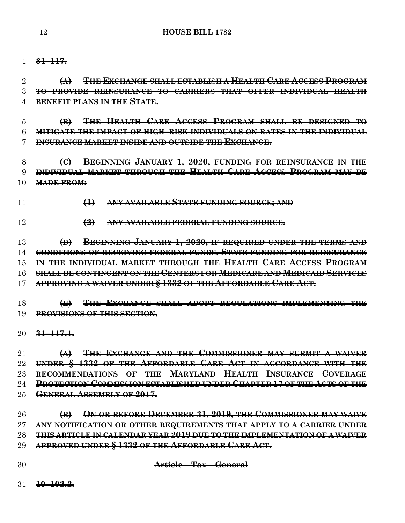### **31–117.**

 **(A) THE EXCHANGE SHALL ESTABLISH A HEALTH CARE ACCESS PROGRAM TO PROVIDE REINSURANCE TO CARRIERS THAT OFFER INDIVIDUAL HEALTH BENEFIT PLANS IN THE STATE.**

 **(B) THE HEALTH CARE ACCESS PROGRAM SHALL BE DESIGNED TO MITIGATE THE IMPACT OF HIGH–RISK INDIVIDUALS ON RATES IN THE INDIVIDUAL INSURANCE MARKET INSIDE AND OUTSIDE THE EXCHANGE.**

 **(C) BEGINNING JANUARY 1, 2020, FUNDING FOR REINSURANCE IN THE INDIVIDUAL MARKET THROUGH THE HEALTH CARE ACCESS PROGRAM MAY BE MADE FROM:**

- **(1) ANY AVAILABLE STATE FUNDING SOURCE; AND**
- **(2) ANY AVAILABLE FEDERAL FUNDING SOURCE.**

 **(D) BEGINNING JANUARY 1, 2020, IF REQUIRED UNDER THE TERMS AND CONDITIONS OF RECEIVING FEDERAL FUNDS, STATE FUNDING FOR REINSURANCE IN THE INDIVIDUAL MARKET THROUGH THE HEALTH CARE ACCESS PROGRAM SHALL BE CONTINGENT ON THE CENTERS FOR MEDICARE AND MEDICAID SERVICES APPROVING A WAIVER UNDER § 1332 OF THE AFFORDABLE CARE ACT.**

 **(E) THE EXCHANGE SHALL ADOPT REGULATIONS IMPLEMENTING THE PROVISIONS OF THIS SECTION.**

**31–117.1.**

 **(A) THE EXCHANGE AND THE COMMISSIONER MAY SUBMIT A WAIVER UNDER § 1332 OF THE AFFORDABLE CARE ACT IN ACCORDANCE WITH THE RECOMMENDATIONS OF THE MARYLAND HEALTH INSURANCE COVERAGE PROTECTION COMMISSION ESTABLISHED UNDER CHAPTER 17 OF THE ACTS OF THE GENERAL ASSEMBLY OF 2017.**

 **(B) ON OR BEFORE DECEMBER 31, 2019, THE COMMISSIONER MAY WAIVE ANY NOTIFICATION OR OTHER REQUIREMENTS THAT APPLY TO A CARRIER UNDER THIS ARTICLE IN CALENDAR YEAR 2019 DUE TO THE IMPLEMENTATION OF A WAIVER APPROVED UNDER § 1332 OF THE AFFORDABLE CARE ACT.**

**Article – Tax – General**

**10–102.2.**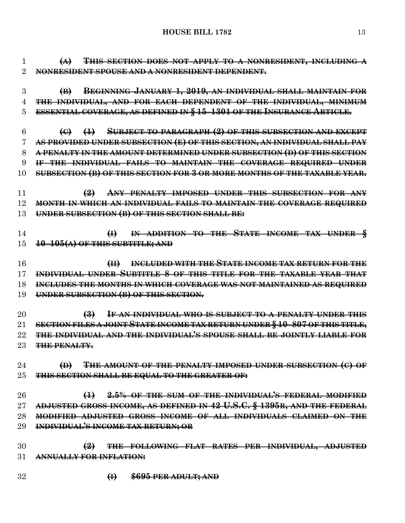**(A) THIS SECTION DOES NOT APPLY TO A NONRESIDENT, INCLUDING A NONRESIDENT SPOUSE AND A NONRESIDENT DEPENDENT. (B) BEGINNING JANUARY 1, 2019, AN INDIVIDUAL SHALL MAINTAIN FOR THE INDIVIDUAL, AND FOR EACH DEPENDENT OF THE INDIVIDUAL, MINIMUM ESSENTIAL COVERAGE, AS DEFINED IN § 15–1301 OF THE INSURANCE ARTICLE. (C) (1) SUBJECT TO PARAGRAPH (2) OF THIS SUBSECTION AND EXCEPT AS PROVIDED UNDER SUBSECTION (E) OF THIS SECTION, AN INDIVIDUAL SHALL PAY A PENALTY IN THE AMOUNT DETERMINED UNDER SUBSECTION (D) OF THIS SECTION IF THE INDIVIDUAL FAILS TO MAINTAIN THE COVERAGE REQUIRED UNDER SUBSECTION (B) OF THIS SECTION FOR 3 OR MORE MONTHS OF THE TAXABLE YEAR. (2) ANY PENALTY IMPOSED UNDER THIS SUBSECTION FOR ANY MONTH IN WHICH AN INDIVIDUAL FAILS TO MAINTAIN THE COVERAGE REQUIRED UNDER SUBSECTION (B) OF THIS SECTION SHALL BE: (I) IN ADDITION TO THE STATE INCOME TAX UNDER § 10–105(A) OF THIS SUBTITLE; AND (II) INCLUDED WITH THE STATE INCOME TAX RETURN FOR THE INDIVIDUAL UNDER SUBTITLE 8 OF THIS TITLE FOR THE TAXABLE YEAR THAT INCLUDES THE MONTHS IN WHICH COVERAGE WAS NOT MAINTAINED AS REQUIRED UNDER SUBSECTION (B) OF THIS SECTION. (3) IF AN INDIVIDUAL WHO IS SUBJECT TO A PENALTY UNDER THIS SECTION FILES A JOINT STATE INCOME TAX RETURN UNDER § 10–807 OF THIS TITLE, THE INDIVIDUAL AND THE INDIVIDUAL'S SPOUSE SHALL BE JOINTLY LIABLE FOR THE PENALTY. (D) THE AMOUNT OF THE PENALTY IMPOSED UNDER SUBSECTION (C) OF THIS SECTION SHALL BE EQUAL TO THE GREATER OF: (1) 2.5% OF THE SUM OF THE INDIVIDUAL'S FEDERAL MODIFIED ADJUSTED GROSS INCOME, AS DEFINED IN 42 U.S.C. § 1395R, AND THE FEDERAL MODIFIED ADJUSTED GROSS INCOME OF ALL INDIVIDUALS CLAIMED ON THE INDIVIDUAL'S INCOME TAX RETURN; OR (2) THE FOLLOWING FLAT RATES PER INDIVIDUAL, ADJUSTED ANNUALLY FOR INFLATION: (I) \$695 PER ADULT; AND**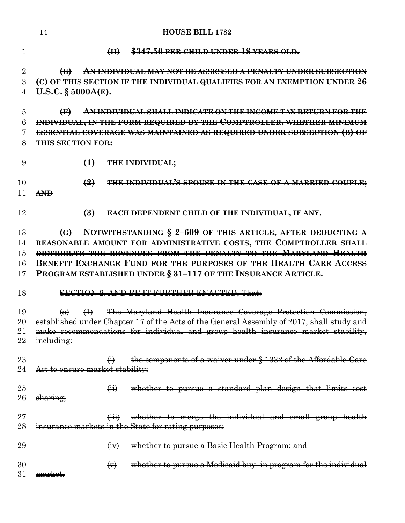| 1              |                                 | H                            | \$347.50 PER CHILD UNDER 18 YEARS OLD.                                                    |
|----------------|---------------------------------|------------------------------|-------------------------------------------------------------------------------------------|
| $\overline{2}$ | $\bigoplus$                     |                              | <del>AN INDIVIDUAL MAY NOT BE ASSESSED A PENALTY UNDER SUBSECTION</del>                   |
| 3              |                                 |                              | (C) OF THIS SECTION IF THE INDIVIDUAL QUALIFIES FOR AN EXEMPTION UNDER 26                 |
| 4              | U.S.C. § 5000A(E).              |                              |                                                                                           |
| 5              | $\bigoplus$                     |                              | <u>AN INDIVIDUAL SHALL INDICATE ON THE INCOME TAX RETURN FOR THE</u>                      |
| 6              |                                 |                              | INDIVIDUAL, IN THE FORM REQUIRED BY THE COMPTROLLER, WHETHER MINIMUM                      |
| 7              |                                 |                              | <b>ESSENTIAL COVERAGE WAS MAINTAINED AS REQUIRED UNDER SUBSECTION (B) OF</b>              |
| 8              | <b>THIS SECTION FOR:</b>        |                              |                                                                                           |
| 9              |                                 | $\bigoplus$                  | <b>THE INDIVIDUAL;</b>                                                                    |
| 10             |                                 | $\left( \frac{9}{2} \right)$ | THE INDIVIDUAL'S SPOUSE IN THE CASE OF A MARRIED COUPLE;                                  |
| 11             | $A\rightarrow\rightarrow$       |                              |                                                                                           |
| 12             |                                 | $\left(\frac{3}{2}\right)$   | <b>EACH DEPENDENT CHILD OF THE INDIVIDUAL, IF ANY,</b>                                    |
| 13             | $\left( \Theta \right)$         |                              | NOTWITHSTANDING § 2-609 OF THIS ARTICLE, AFTER DEDUCTING A                                |
| 14             |                                 |                              | REASONABLE AMOUNT FOR ADMINISTRATIVE COSTS, THE COMPTROLLER SHALL                         |
| 15             |                                 |                              | DISTRIBUTE THE REVENUES FROM THE PENALTY TO THE MARYLAND HEALTH                           |
| 16             |                                 |                              | <b>BENEFIT EXCHANGE FUND FOR THE PURPOSES OF THE HEALTH CARE ACCESS</b>                   |
| 17             |                                 |                              | PROGRAM ESTABLISHED UNDER § 31-117 OF THE INSURANCE ARTICLE.                              |
| 18             |                                 |                              | <b>SECTION 2. AND BE IT FURTHER ENACTED, That:</b>                                        |
| 19             | $\left( a\right)$               | $\leftrightarrow$            | The Maryland Health Insurance Coverage Protection Commission,                             |
| 20             |                                 |                              | established under Chapter 17 of the Acts of the General Assembly of 2017, shall study and |
| 21             |                                 |                              | make recommendations for individual and group health insurance market stability,          |
| 22             | ineluding:                      |                              |                                                                                           |
| 23             |                                 | $\bigoplus$                  | the components of a waiver under § 1332 of the Affordable Care                            |
| 24             | Act to ensure market stability; |                              |                                                                                           |
|                |                                 |                              |                                                                                           |
| 25             |                                 | $\overline{a}$               | whether to pursue a standard plan design that limits cost                                 |
| 26             | sharing;                        |                              |                                                                                           |
| 27             |                                 |                              | whether to merge the individual and small group health                                    |
| 28             |                                 |                              | insurance markets in the State for rating purposes;                                       |
| 29             |                                 | $\leftrightarrow$            | whether to pursue a Basic Health Program; and                                             |
| 30             |                                 |                              | whether to pursue a Medicaid buy-in program for the individual                            |
| 31             | <del>market.</del>              | $\leftrightarrow$            |                                                                                           |
|                |                                 |                              |                                                                                           |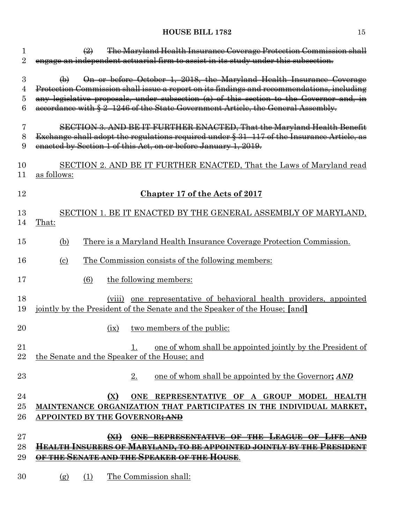| 1                | The Maryland Health Insurance Coverage Protection Commission shall<br>$\leftrightarrow$                                                                                                                                                                                                                                                                        |
|------------------|----------------------------------------------------------------------------------------------------------------------------------------------------------------------------------------------------------------------------------------------------------------------------------------------------------------------------------------------------------------|
| $\overline{2}$   | engage an independent actuarial firm to assist in its study under this subsection.                                                                                                                                                                                                                                                                             |
| 3<br>4<br>5<br>6 | On or before October 1, 2018, the Maryland Health Insurance Coverage<br>$\bigoplus$<br>Protection Commission shall issue a report on its findings and recommendations, including<br>any legislative proposals, under subsection (a) of this section to the Governor and, in<br>accordance with § 2-1246 of the State Government Article, the General Assembly. |
| 7<br>8<br>9      | SECTION 3. AND BE IT FURTHER ENACTED, That the Maryland Health Benefit<br>Exchange shall adopt the regulations required under § 31-117 of the Insurance Article, as<br>enacted by Section 1 of this Act, on or before January 1, 2019.                                                                                                                         |
| 10<br>11         | SECTION 2. AND BE IT FURTHER ENACTED, That the Laws of Maryland read<br>as follows:                                                                                                                                                                                                                                                                            |
| 12               | Chapter 17 of the Acts of 2017                                                                                                                                                                                                                                                                                                                                 |
| 13<br>14         | SECTION 1. BE IT ENACTED BY THE GENERAL ASSEMBLY OF MARYLAND,<br>That:                                                                                                                                                                                                                                                                                         |
| 15               | <u>There is a Maryland Health Insurance Coverage Protection Commission.</u><br>(b)                                                                                                                                                                                                                                                                             |
| 16               | <u>The Commission consists of the following members:</u><br>$\left( \mathrm{c}\right)$                                                                                                                                                                                                                                                                         |
| 17               | the following members:<br>(6)                                                                                                                                                                                                                                                                                                                                  |
| 18<br>19         | (viii) one representative of behavioral health providers, appointed<br><u>jointly by the President of the Senate and the Speaker of the House; [and]</u>                                                                                                                                                                                                       |
| $20\,$           | two members of the public:<br>(ix)                                                                                                                                                                                                                                                                                                                             |
| 21<br>22         | one of whom shall be appointed jointly by the President of<br><u>1.</u><br>the Senate and the Speaker of the House; and                                                                                                                                                                                                                                        |
| $^{23}$          | 2.<br>one of whom shall be appointed by the Governor; AND                                                                                                                                                                                                                                                                                                      |
| 24<br>25<br>26   | (X)<br>ONE REPRESENTATIVE OF A GROUP MODEL HEALTH<br>MAINTENANCE ORGANIZATION THAT PARTICIPATES IN THE INDIVIDUAL MARKET,<br>APPOINTED BY THE GOVERNOR <del>; AND</del>                                                                                                                                                                                        |
| $27\,$           | ONE REPRESENTATIVE OF THE LEAGUE OF LIFE AND<br>$\left(\frac{1}{2} \right)$                                                                                                                                                                                                                                                                                    |
| 28               | <del>Health Insurers of Maryland, to be appointed jointly by the President</del>                                                                                                                                                                                                                                                                               |
| 29               | <del>OF THE SENATE AND THE SPEAKER OF THE HOUSE</del> .                                                                                                                                                                                                                                                                                                        |
| 30               | The Commission shall:<br>(1)<br>(g)                                                                                                                                                                                                                                                                                                                            |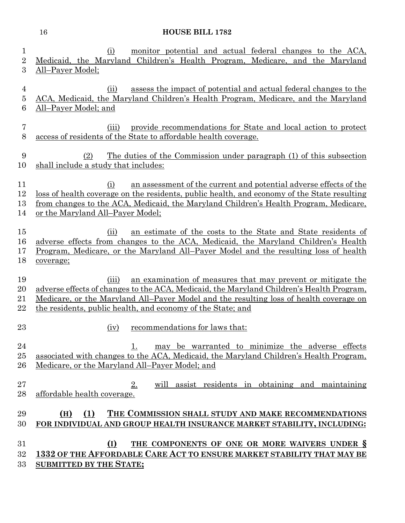(i) monitor potential and actual federal changes to the ACA, Medicaid, the Maryland Children's Health Program, Medicare, and the Maryland All–Payer Model; (ii) assess the impact of potential and actual federal changes to the ACA, Medicaid, the Maryland Children's Health Program, Medicare, and the Maryland All–Payer Model; and (iii) provide recommendations for State and local action to protect access of residents of the State to affordable health coverage. (2) The duties of the Commission under paragraph (1) of this subsection shall include a study that includes: (i) an assessment of the current and potential adverse effects of the loss of health coverage on the residents, public health, and economy of the State resulting from changes to the ACA, Medicaid, the Maryland Children's Health Program, Medicare, or the Maryland All–Payer Model; (ii) an estimate of the costs to the State and State residents of adverse effects from changes to the ACA, Medicaid, the Maryland Children's Health Program, Medicare, or the Maryland All–Payer Model and the resulting loss of health coverage; (iii) an examination of measures that may prevent or mitigate the adverse effects of changes to the ACA, Medicaid, the Maryland Children's Health Program, Medicare, or the Maryland All–Payer Model and the resulting loss of health coverage on the residents, public health, and economy of the State; and 23 (iv) recommendations for laws that: 24 1. may be warranted to minimize the adverse effects associated with changes to the ACA, Medicaid, the Maryland Children's Health Program, Medicare, or the Maryland All–Payer Model; and 2. will assist residents in obtaining and maintaining affordable health coverage. **(H) (1) THE COMMISSION SHALL STUDY AND MAKE RECOMMENDATIONS FOR INDIVIDUAL AND GROUP HEALTH INSURANCE MARKET STABILITY, INCLUDING: (I) THE COMPONENTS OF ONE OR MORE WAIVERS UNDER § 1332 OF THE AFFORDABLE CARE ACT TO ENSURE MARKET STABILITY THAT MAY BE SUBMITTED BY THE STATE;**